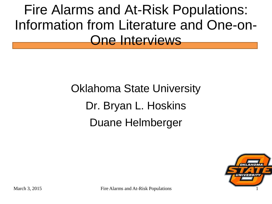Fire Alarms and At-Risk Populations: Information from Literature and One-on-One Interviews

> Oklahoma State University Dr. Bryan L. Hoskins Duane Helmberger



March 3, 2015 Fire Alarms and At-Risk Populations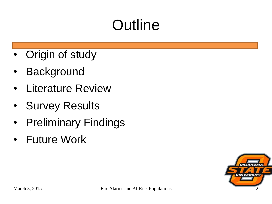# **Outline**

- **Origin of study**
- Background
- Literature Review
- Survey Results
- Preliminary Findings
- Future Work

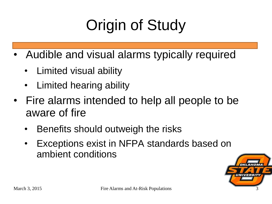# Origin of Study

- Audible and visual alarms typically required
	- Limited visual ability
	- Limited hearing ability
- Fire alarms intended to help all people to be aware of fire
	- Benefits should outweigh the risks
	- Exceptions exist in NFPA standards based on ambient conditions

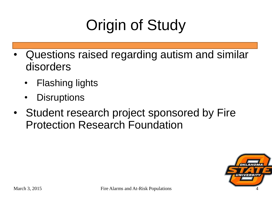# Origin of Study

- Questions raised regarding autism and similar disorders
	- **Flashing lights**
	- **Disruptions**
- Student research project sponsored by Fire Protection Research Foundation

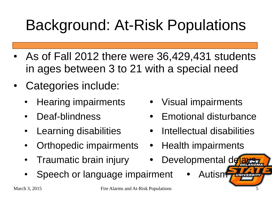## Background: At-Risk Populations

- As of Fall 2012 there were 36,429,431 students in ages between 3 to 21 with a special need
- Categories include:
	-
	-
	-
	- Orthopedic impairments Health impairments
	- Traumatic brain injury Developmental delays
	- Speech or language impairment Autism
- Hearing impairments Visual impairments
- Deaf-blindness Emotional disturbance
- Learning disabilities Intellectual disabilities
	-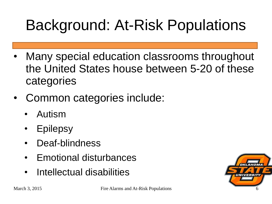# Background: At-Risk Populations

- Many special education classrooms throughout the United States house between 5-20 of these categories
- Common categories include:
	- Autism
	- **Epilepsy**
	- Deaf-blindness
	- Emotional disturbances
	- Intellectual disabilities

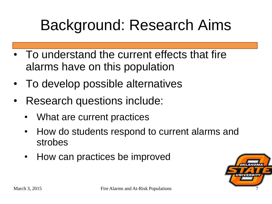#### Background: Research Aims

- To understand the current effects that fire alarms have on this population
- To develop possible alternatives
- Research questions include:
	- What are current practices
	- How do students respond to current alarms and strobes
	- How can practices be improved

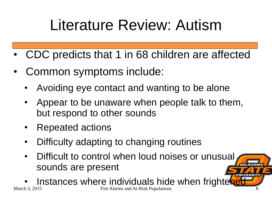## Literature Review: Autism

- CDC predicts that 1 in 68 children are affected
- Common symptoms include:
	- Avoiding eye contact and wanting to be alone
	- Appear to be unaware when people talk to them, but respond to other sounds
	- Repeated actions
	- Difficulty adapting to changing routines
	- Difficult to control when loud noises or unusual sounds are present

Instances where individuals hide when frighter March 3, 2015 Fire Alarms and At-Risk Populations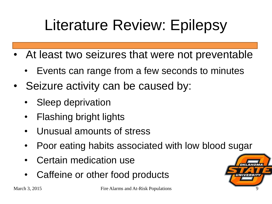## Literature Review: Epilepsy

- At least two seizures that were not preventable
	- Events can range from a few seconds to minutes
- Seizure activity can be caused by:
	- Sleep deprivation
	- Flashing bright lights
	- Unusual amounts of stress
	- Poor eating habits associated with low blood sugar
	- Certain medication use
	- Caffeine or other food products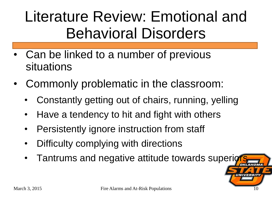#### Literature Review: Emotional and Behavioral Disorders

- Can be linked to a number of previous situations
- Commonly problematic in the classroom:
	- Constantly getting out of chairs, running, yelling
	- Have a tendency to hit and fight with others
	- Persistently ignore instruction from staff
	- Difficulty complying with directions
	- Tantrums and negative attitude towards superiors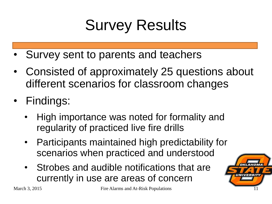## Survey Results

- Survey sent to parents and teachers
- Consisted of approximately 25 questions about different scenarios for classroom changes
- Findings:
	- High importance was noted for formality and regularity of practiced live fire drills
	- Participants maintained high predictability for scenarios when practiced and understood
	- Strobes and audible notifications that are currently in use are areas of concern

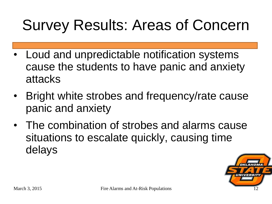#### Survey Results: Areas of Concern

- Loud and unpredictable notification systems cause the students to have panic and anxiety attacks
- Bright white strobes and frequency/rate cause panic and anxiety
- The combination of strobes and alarms cause situations to escalate quickly, causing time delays

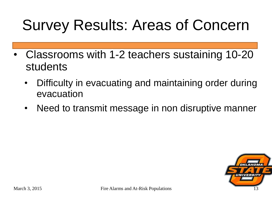#### Survey Results: Areas of Concern

- Classrooms with 1-2 teachers sustaining 10-20 students
	- Difficulty in evacuating and maintaining order during evacuation
	- Need to transmit message in non disruptive manner

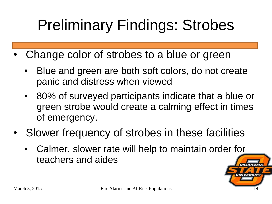# Preliminary Findings: Strobes

- Change color of strobes to a blue or green
	- Blue and green are both soft colors, do not create panic and distress when viewed
	- 80% of surveyed participants indicate that a blue or green strobe would create a calming effect in times of emergency.
- Slower frequency of strobes in these facilities
	- Calmer, slower rate will help to maintain order for teachers and aides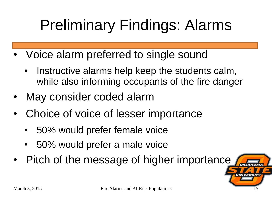# Preliminary Findings: Alarms

- Voice alarm preferred to single sound
	- Instructive alarms help keep the students calm, while also informing occupants of the fire danger
- May consider coded alarm
- Choice of voice of lesser importance
	- 50% would prefer female voice
	- 50% would prefer a male voice
- Pitch of the message of higher importance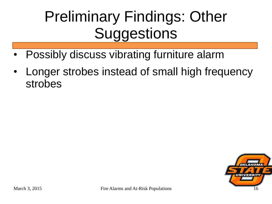#### Preliminary Findings: Other **Suggestions**

- Possibly discuss vibrating furniture alarm
- Longer strobes instead of small high frequency strobes

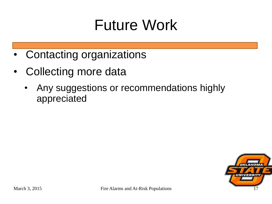#### Future Work

- Contacting organizations
- Collecting more data
	- Any suggestions or recommendations highly appreciated